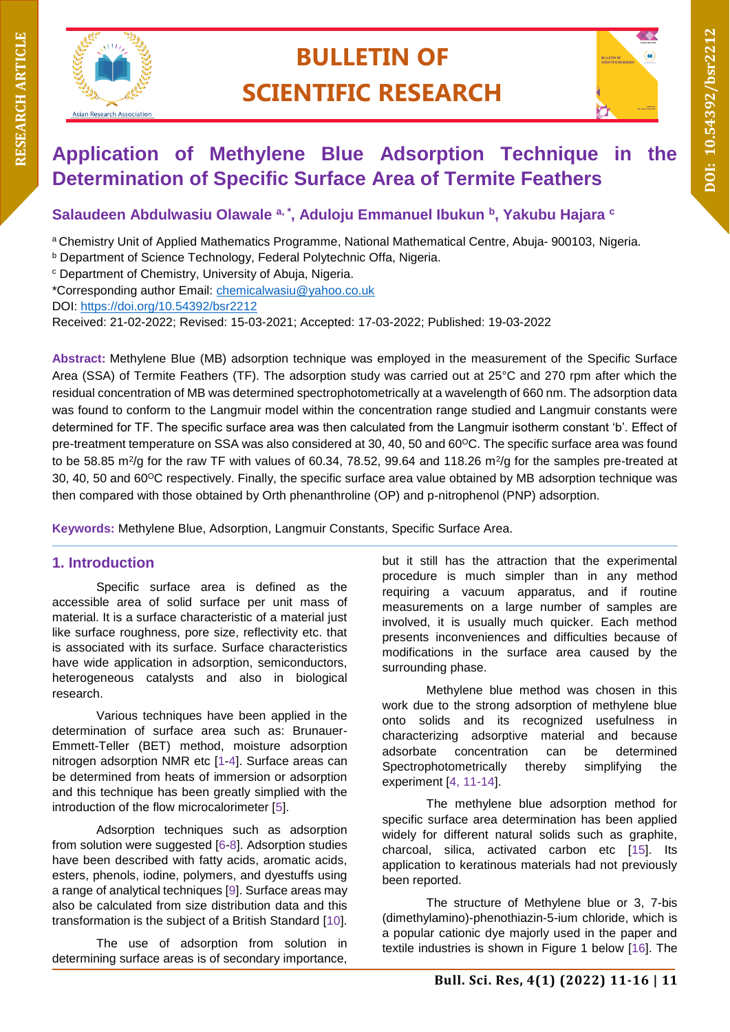

# **BULLETIN OF SCIENTIFIC RESEARCH**



## **Application of Methylene Blue Adsorption Technique in the Determination of Specific Surface Area of Termite Feathers**

**Salaudeen Abdulwasiu Olawale a, \* , Aduloju Emmanuel Ibukun <sup>b</sup> , Yakubu Hajara <sup>c</sup>**

<sup>a</sup>Chemistry Unit of Applied Mathematics Programme, National Mathematical Centre, Abuja- 900103, Nigeria.

<sup>c</sup> Department of Chemistry, University of Abuja, Nigeria.

\*Corresponding author Email: [chemicalwasiu@yahoo.co.uk](mailto:chemicalwasiu@yahoo.co.uk)

DOI:<https://doi.org/10.54392/bsr2212>

Received: 21-02-2022; Revised: 15-03-2021; Accepted: 17-03-2022; Published: 19-03-2022

**Abstract:** Methylene Blue (MB) adsorption technique was employed in the measurement of the Specific Surface Area (SSA) of Termite Feathers (TF). The adsorption study was carried out at 25°C and 270 rpm after which the residual concentration of MB was determined spectrophotometrically at a wavelength of 660 nm. The adsorption data was found to conform to the Langmuir model within the concentration range studied and Langmuir constants were determined for TF. The specific surface area was then calculated from the Langmuir isotherm constant 'b'. Effect of pre-treatment temperature on SSA was also considered at 30, 40, 50 and 60<sup>o</sup>C. The specific surface area was found to be 58.85 m<sup>2</sup>/g for the raw TF with values of 60.34, 78.52, 99.64 and 118.26 m<sup>2</sup>/g for the samples pre-treated at 30, 40, 50 and 60<sup>o</sup>C respectively. Finally, the specific surface area value obtained by MB adsorption technique was then compared with those obtained by Orth phenanthroline (OP) and p-nitrophenol (PNP) adsorption.

**Keywords:** Methylene Blue, Adsorption, Langmuir Constants, Specific Surface Area.

## **1. Introduction**

Specific surface area is defined as the accessible area of solid surface per unit mass of material. It is a surface characteristic of a material just like surface roughness, pore size, reflectivity etc. that is associated with its surface. Surface characteristics have wide application in adsorption, semiconductors, heterogeneous catalysts and also in biological research.

Various techniques have been applied in the determination of surface area such as: Brunauer-Emmett-Teller (BET) method, moisture adsorption nitrogen adsorption NMR etc [1-4]. Surface areas can be determined from heats of immersion or adsorption and this technique has been greatly simplied with the introduction of the flow microcalorimeter [5].

Adsorption techniques such as adsorption from solution were suggested [6-8]. Adsorption studies have been described with fatty acids, aromatic acids, esters, phenols, iodine, polymers, and dyestuffs using a range of analytical techniques [9]. Surface areas may also be calculated from size distribution data and this transformation is the subject of a British Standard [10].

The use of adsorption from solution in determining surface areas is of secondary importance,

but it still has the attraction that the experimental procedure is much simpler than in any method requiring a vacuum apparatus, and if routine measurements on a large number of samples are involved, it is usually much quicker. Each method presents inconveniences and difficulties because of modifications in the surface area caused by the surrounding phase.

Methylene blue method was chosen in this work due to the strong adsorption of methylene blue onto solids and its recognized usefulness in characterizing adsorptive material and because adsorbate concentration can be determined Spectrophotometrically thereby simplifying the experiment [4, 11-14].

The methylene blue adsorption method for specific surface area determination has been applied widely for different natural solids such as graphite, charcoal, silica, activated carbon etc [15]. Its application to keratinous materials had not previously been reported.

The structure of Methylene blue or 3, 7-bis (dimethylamino)-phenothiazin-5-ium chloride, which is a popular cationic dye majorly used in the paper and textile industries is shown in Figure 1 below [16]. The

**b** Department of Science Technology, Federal Polytechnic Offa, Nigeria.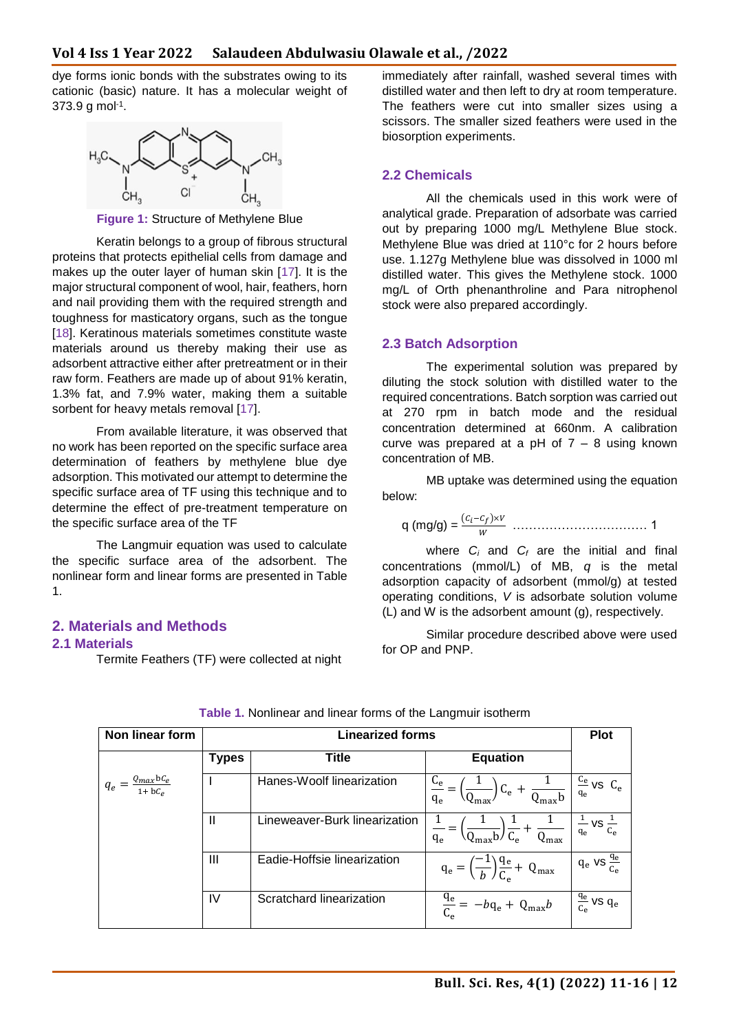dye forms ionic bonds with the substrates owing to its cationic (basic) nature. It has a molecular weight of 373.9 g mol-1 .



**Figure 1:** Structure of Methylene Blue

Keratin belongs to a group of fibrous structural proteins that protects epithelial cells from damage and makes up the outer layer of human skin [17]. It is the major structural component of wool, hair, feathers, horn and nail providing them with the required strength and toughness for masticatory organs, such as the tongue [18]. Keratinous materials sometimes constitute waste materials around us thereby making their use as adsorbent attractive either after pretreatment or in their raw form. Feathers are made up of about 91% keratin, 1.3% fat, and 7.9% water, making them a suitable sorbent for heavy metals removal [17].

From available literature, it was observed that no work has been reported on the specific surface area determination of feathers by methylene blue dye adsorption. This motivated our attempt to determine the specific surface area of TF using this technique and to determine the effect of pre-treatment temperature on the specific surface area of the TF

The Langmuir equation was used to calculate the specific surface area of the adsorbent. The nonlinear form and linear forms are presented in Table 1.

## **2. Materials and Methods**

#### **2.1 Materials**

Termite Feathers (TF) were collected at night

immediately after rainfall, washed several times with distilled water and then left to dry at room temperature. The feathers were cut into smaller sizes using a scissors. The smaller sized feathers were used in the biosorption experiments.

#### **2.2 Chemicals**

All the chemicals used in this work were of analytical grade. Preparation of adsorbate was carried out by preparing 1000 mg/L Methylene Blue stock. Methylene Blue was dried at 110°c for 2 hours before use. 1.127g Methylene blue was dissolved in 1000 ml distilled water. This gives the Methylene stock. 1000 mg/L of Orth phenanthroline and Para nitrophenol stock were also prepared accordingly.

#### **2.3 Batch Adsorption**

The experimental solution was prepared by diluting the stock solution with distilled water to the required concentrations. Batch sorption was carried out at 270 rpm in batch mode and the residual concentration determined at 660nm. A calibration curve was prepared at a  $pH$  of  $7 - 8$  using known concentration of MB.

MB uptake was determined using the equation below:

q (mg/g) = (−)× …………………………… 1

where *C<sup>i</sup>* and *C<sup>f</sup>* are the initial and final concentrations (mmol/L) of MB, *q* is the metal adsorption capacity of adsorbent (mmol/g) at tested operating conditions, *V* is adsorbate solution volume (L) and W is the adsorbent amount (g), respectively.

Similar procedure described above were used for OP and PNP.

| Non linear form                    | <b>Linearized forms</b> |                               |                                                                                           | <b>Plot</b>                      |
|------------------------------------|-------------------------|-------------------------------|-------------------------------------------------------------------------------------------|----------------------------------|
|                                    | <b>Types</b>            | Title                         | <b>Equation</b>                                                                           |                                  |
| $q_e = \frac{Q_{max}bC_e}{1+bC_e}$ |                         | Hanes-Woolf linearization     | $C_e$<br>$\frac{1}{\sqrt{C_e + \frac{1}{Q_{\text{max}}}}}\right)$<br>$q_e$                | $\frac{C_e}{C_e}$ vs $C_e$<br>qe |
|                                    | Ш                       | Lineweaver-Burk linearization | $\left(\frac{1}{Q_{\text{max}}b}\right)\frac{1}{C_e} + \frac{1}{Q_{\text{max}}}$<br>$q_e$ | vs $\frac{1}{C_e}$<br>$q_e$      |
|                                    | Ш                       | Eadie-Hoffsie linearization   | $q_e = \left(\frac{-1}{b}\right)\frac{q_e}{C_e} + Q_{max}$                                | $q_e$ vs $\frac{q_e}{q_e}$       |
|                                    | IV                      | Scratchard linearization      | $\frac{q_e}{C_e} = -bq_e + Q_{max}b$                                                      | $rac{q_e}{c_e}$ vs $q_e$         |

**Table 1.** Nonlinear and linear forms of the Langmuir isotherm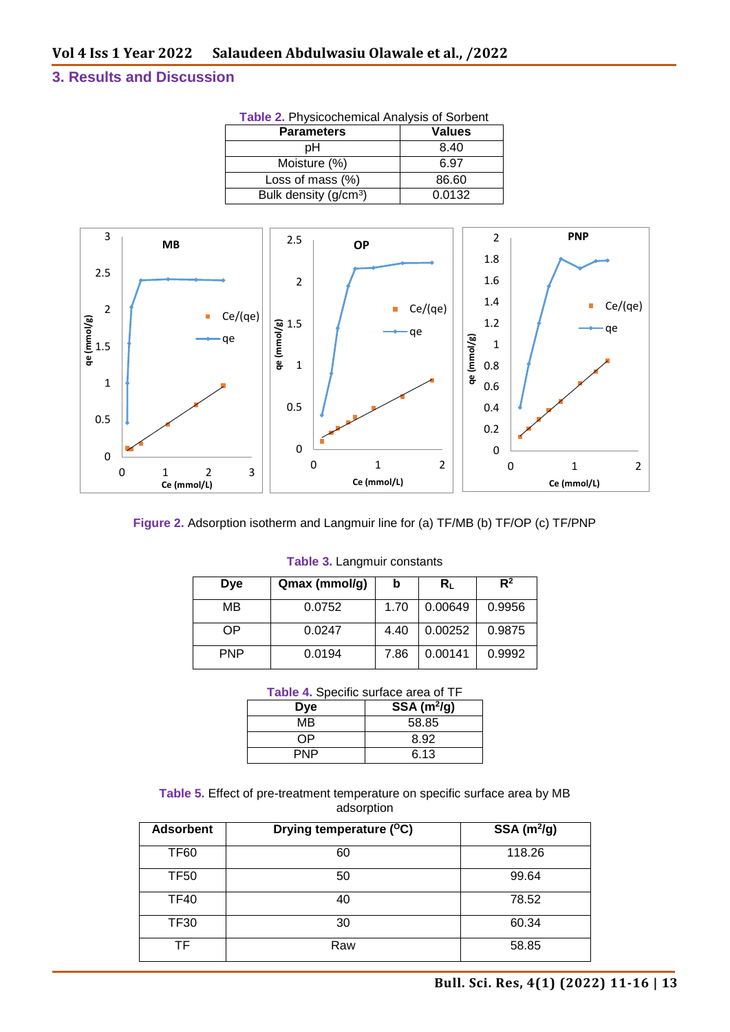### **3. Results and Discussion**

| <b>I ADIC 2.</b> FIIYSICUCHEINICAI ANALYSIS UI JUIDENI |               |  |
|--------------------------------------------------------|---------------|--|
| <b>Parameters</b>                                      | <b>Values</b> |  |
| pН                                                     | 8.40          |  |
| Moisture (%)                                           | 6.97          |  |
| Loss of mass (%)                                       | 86.60         |  |
| Bulk density $(g/cm3)$                                 | 0.0132        |  |
|                                                        |               |  |







| <b>Dye</b> | Qmax (mmol/g) | b    | Rι      | $R^2$  |
|------------|---------------|------|---------|--------|
| MВ         | 0.0752        | 1.70 | 0.00649 | 0.9956 |
| OΡ         | 0.0247        | 4.40 | 0.00252 | 0.9875 |
| <b>PNP</b> | 0.0194        | 7.86 | 0.00141 | 0.9992 |

#### **Table 3.** Langmuir constants

|  | Table 4. Specific surface area of TF |  |  |  |
|--|--------------------------------------|--|--|--|
|--|--------------------------------------|--|--|--|

| <b>Dye</b> | $SSA(m^2/g)$ |
|------------|--------------|
| MВ         | 58.85        |
| ∩P         | 8.92         |
| PNP        | 6.13         |

**Table 5.** Effect of pre-treatment temperature on specific surface area by MB adsorption

| <b>Adsorbent</b> | Drying temperature ( <sup>o</sup> C) | SSA $(m^2/g)$ |
|------------------|--------------------------------------|---------------|
| <b>TF60</b>      | 60                                   | 118.26        |
| <b>TF50</b>      | 50                                   | 99.64         |
| <b>TF40</b>      | 40                                   | 78.52         |
| <b>TF30</b>      | 30                                   | 60.34         |
| TF.              | Raw                                  | 58.85         |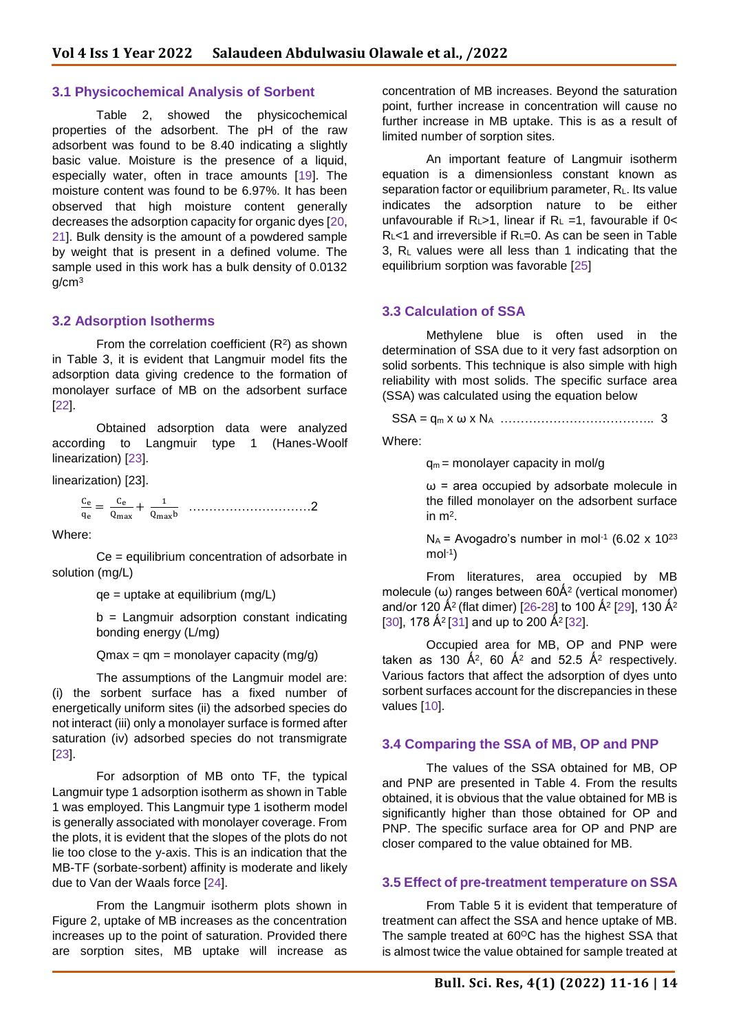#### **3.1 Physicochemical Analysis of Sorbent**

Table 2, showed the physicochemical properties of the adsorbent. The pH of the raw adsorbent was found to be 8.40 indicating a slightly basic value. Moisture is the presence of a liquid, especially water, often in trace amounts [19]. The moisture content was found to be 6.97%. It has been observed that high moisture content generally decreases the adsorption capacity for organic dyes [20, 21]. Bulk density is the amount of a powdered sample by weight that is present in a defined volume. The sample used in this work has a bulk density of 0.0132  $q/cm<sup>3</sup>$ 

#### **3.2 Adsorption Isotherms**

From the correlation coefficient  $(R^2)$  as shown in Table 3, it is evident that Langmuir model fits the adsorption data giving credence to the formation of monolayer surface of MB on the adsorbent surface [22].

Obtained adsorption data were analyzed according to Langmuir type 1 (Hanes-Woolf linearization) [23].

linearization) [23].

 $\mathsf{c}_{\mathsf{e}}$  $\frac{\mathsf{C}_\mathrm{e}}{\mathsf{q}_\mathrm{e}} = \frac{\mathsf{C}_\mathrm{e}}{\mathsf{Q}_\mathrm{m}z}$  $\frac{C_e}{Q_{\text{max}}} + \frac{1}{Q_{\text{max}}}$ Qmaxb …………………………2

Where:

Ce = equilibrium concentration of adsorbate in solution (mg/L)

qe = uptake at equilibrium (mg/L)

b = Langmuir adsorption constant indicating bonding energy (L/mg)

 $Qmax = qm = monolayer capacity (mg/g)$ 

The assumptions of the Langmuir model are: (i) the sorbent surface has a fixed number of energetically uniform sites (ii) the adsorbed species do not interact (iii) only a monolayer surface is formed after saturation (iv) adsorbed species do not transmigrate [23].

For adsorption of MB onto TF, the typical Langmuir type 1 adsorption isotherm as shown in Table 1 was employed. This Langmuir type 1 isotherm model is generally associated with monolayer coverage. From the plots, it is evident that the slopes of the plots do not lie too close to the y-axis. This is an indication that the MB-TF (sorbate-sorbent) affinity is moderate and likely due to Van der Waals force [24].

From the Langmuir isotherm plots shown in Figure 2, uptake of MB increases as the concentration increases up to the point of saturation. Provided there are sorption sites, MB uptake will increase as

concentration of MB increases. Beyond the saturation point, further increase in concentration will cause no further increase in MB uptake. This is as a result of limited number of sorption sites.

An important feature of Langmuir isotherm equation is a dimensionless constant known as separation factor or equilibrium parameter, RL. Its value indicates the adsorption nature to be either unfavourable if  $R_{L}>1$ , linear if  $R_{L}=1$ , favourable if 0< RL<1 and irreversible if RL=0. As can be seen in Table 3, R<sup>L</sup> values were all less than 1 indicating that the equilibrium sorption was favorable [25]

#### **3.3 Calculation of SSA**

Methylene blue is often used in the determination of SSA due to it very fast adsorption on solid sorbents. This technique is also simple with high reliability with most solids. The specific surface area (SSA) was calculated using the equation below

$$
SSA = q_m \times \omega \times N_A
$$
................. 3

Where:

 $q_m$  = monolayer capacity in mol/g

 $\omega$  = area occupied by adsorbate molecule in the filled monolayer on the adsorbent surface in  $m<sup>2</sup>$ .

 $N_A$  = Avogadro's number in mol<sup>-1</sup> (6.02 x 10<sup>23</sup>)  $mol<sup>-1</sup>$ 

From literatures, area occupied by MB molecule ( $\omega$ ) ranges between 60Å<sup>2</sup> (vertical monomer) and/or 120 Å<sup>2</sup> (flat dimer) [26-28] to 100 Å<sup>2</sup> [29], 130 Å<sup>2</sup> [30], 178  $\AA^2$  [31] and up to 200  $\AA^2$  [32].

Occupied area for MB, OP and PNP were taken as 130  $A^2$ , 60  $A^2$  and 52.5  $A^2$  respectively. Various factors that affect the adsorption of dyes unto sorbent surfaces account for the discrepancies in these values [10].

#### **3.4 Comparing the SSA of MB, OP and PNP**

The values of the SSA obtained for MB, OP and PNP are presented in Table 4. From the results obtained, it is obvious that the value obtained for MB is significantly higher than those obtained for OP and PNP. The specific surface area for OP and PNP are closer compared to the value obtained for MB.

#### **3.5 Effect of pre-treatment temperature on SSA**

From Table 5 it is evident that temperature of treatment can affect the SSA and hence uptake of MB. The sample treated at  $60^{\circ}$ C has the highest SSA that is almost twice the value obtained for sample treated at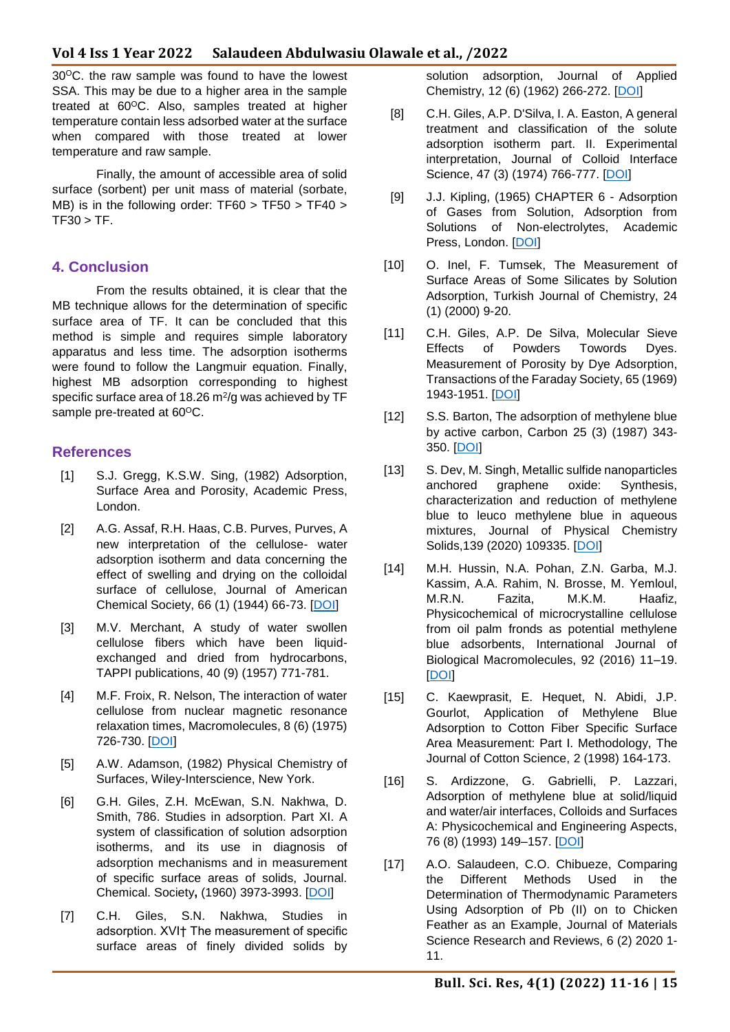30<sup>o</sup>C. the raw sample was found to have the lowest SSA. This may be due to a higher area in the sample treated at 60°C. Also, samples treated at higher temperature contain less adsorbed water at the surface when compared with those treated at lower temperature and raw sample.

Finally, the amount of accessible area of solid surface (sorbent) per unit mass of material (sorbate, MB) is in the following order: TF60 > TF50 > TF40 >  $TF30 > TF.$ 

#### **4. Conclusion**

From the results obtained, it is clear that the MB technique allows for the determination of specific surface area of TF. It can be concluded that this method is simple and requires simple laboratory apparatus and less time. The adsorption isotherms were found to follow the Langmuir equation. Finally, highest MB adsorption corresponding to highest specific surface area of 18.26  $m^2$ /g was achieved by TF sample pre-treated at  $60^{\circ}$ C.

#### **References**

- [1] S.J. Gregg, K.S.W. Sing, (1982) Adsorption, Surface Area and Porosity, Academic Press, London.
- [2] A.G. Assaf, R.H. Haas, C.B. Purves, Purves, A new interpretation of the cellulose- water adsorption isotherm and data concerning the effect of swelling and drying on the colloidal surface of cellulose, Journal of American Chemical Society, 66 (1) (1944) 66-73. [\[DOI\]](https://doi.org/10.1021/ja01229a020)
- [3] M.V. Merchant, A study of water swollen cellulose fibers which have been liquidexchanged and dried from hydrocarbons, TAPPI publications, 40 (9) (1957) 771-781.
- [4] M.F. Froix, R. Nelson, The interaction of water cellulose from nuclear magnetic resonance relaxation times, Macromolecules, 8 (6) (1975) 726-730. [\[DOI\]](https://doi.org/10.1021/ma60048a011)
- [5] A.W. Adamson, (1982) Physical Chemistry of Surfaces, Wiley-Interscience, New York.
- [6] G.H. Giles, Z.H. McEwan, S.N. Nakhwa, D. Smith, 786. Studies in adsorption. Part XI. A system of classification of solution adsorption isotherms, and its use in diagnosis of adsorption mechanisms and in measurement of specific surface areas of solids, Journal. Chemical. Society**,** (1960) 3973-3993. [\[DOI\]](https://doi.org/10.1039/JR9600003973)
- [7] C.H. Giles, S.N. Nakhwa, Studies in adsorption. XVI† The measurement of specific surface areas of finely divided solids by

solution adsorption, Journal of Applied Chemistry, 12 (6) (1962) 266-272. [\[DOI\]](https://doi.org/10.1002/jctb.5010120605)

- [8] C.H. Giles, A.P. D'Silva, I. A. Easton, A general treatment and classification of the solute adsorption isotherm part. II. Experimental interpretation, Journal of Colloid Interface Science, 47 (3) (1974) 766-777. [\[DOI\]](https://doi.org/10.1016/0021-9797(74)90253-7)
- [9] J.J. Kipling, (1965) CHAPTER 6 Adsorption of Gases from Solution, Adsorption from Solutions of Non-electrolytes, Academic Press, London. [\[DOI\]](https://doi.org/10.1016/B978-1-4832-3106-8.50009-0)
- [10] O. Inel, F. Tumsek, The Measurement of Surface Areas of Some Silicates by Solution Adsorption, Turkish Journal of Chemistry, 24 (1) (2000) 9-20.
- [11] C.H. Giles, A.P. De Silva, Molecular Sieve Effects of Powders Towords Dyes. Measurement of Porosity by Dye Adsorption, Transactions of the Faraday Society, 65 (1969) 1943-1951. [\[DOI\]](https://doi.org/10.1039/TF9696501943)
- [12] S.S. Barton, The adsorption of methylene blue by active carbon, Carbon 25 (3) (1987) 343- 350. [\[DOI\]](https://doi.org/10.1016/0008-6223(87)90005-4)
- [13] S. Dev, M. Singh, Metallic sulfide nanoparticles anchored graphene oxide: Synthesis, characterization and reduction of methylene blue to leuco methylene blue in aqueous mixtures, Journal of Physical Chemistry Solids,139 (2020) 109335. [\[DOI\]](https://doi.org/10.1016/j.jpcs.2020.109335)
- [14] M.H. Hussin, N.A. Pohan, Z.N. Garba, M.J. Kassim, A.A. Rahim, N. Brosse, M. Yemloul, M.R.N. Fazita, M.K.M. Haafiz, Physicochemical of microcrystalline cellulose from oil palm fronds as potential methylene blue adsorbents, International Journal of Biological Macromolecules, 92 (2016) 11–19. [\[DOI\]](https://doi.org/10.1016/j.ijbiomac.2016.06.094)
- [15] C. Kaewprasit, E. Hequet, N. Abidi, J.P. Gourlot, Application of Methylene Blue Adsorption to Cotton Fiber Specific Surface Area Measurement: Part I. Methodology, The Journal of Cotton Science, 2 (1998) 164-173.
- [16] S. Ardizzone, G. Gabrielli, P. Lazzari, Adsorption of methylene blue at solid/liquid and water/air interfaces, Colloids and Surfaces A: Physicochemical and Engineering Aspects, 76 (8) (1993) 149–157. [\[DOI\]](https://doi.org/10.1016/0927-7757(93)80073-N)
- [17] A.O. Salaudeen, C.O. Chibueze, Comparing the Different Methods Used in the Determination of Thermodynamic Parameters Using Adsorption of Pb (II) on to Chicken Feather as an Example, Journal of Materials Science Research and Reviews, 6 (2) 2020 1- 11.